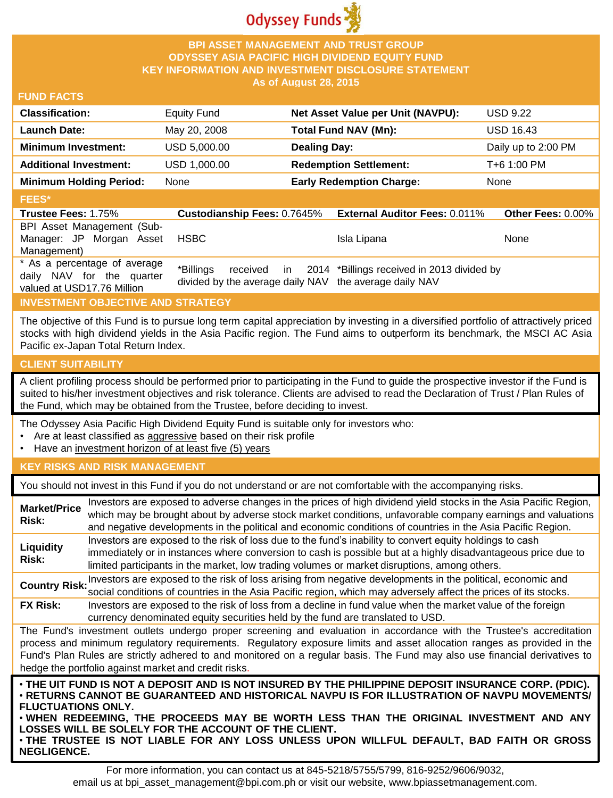

# **BPI ASSET MANAGEMENT AND TRUST GROUP ODYSSEY ASIA PACIFIC HIGH DIVIDEND EQUITY FUND KEY INFORMATION AND INVESTMENT DISCLOSURE STATEMENT As of August 28, 2015**

## **FUND FACTS**

| <b>Classification:</b>         | <b>Equity Fund</b> | Net Asset Value per Unit (NAVPU): | <b>USD 9.22</b>     |
|--------------------------------|--------------------|-----------------------------------|---------------------|
| <b>Launch Date:</b>            | May 20, 2008       | <b>Total Fund NAV (Mn):</b>       | <b>USD 16.43</b>    |
| <b>Minimum Investment:</b>     | USD 5,000.00       | <b>Dealing Day:</b>               | Daily up to 2:00 PM |
| <b>Additional Investment:</b>  | USD 1,000.00       | <b>Redemption Settlement:</b>     | T+6 1:00 PM         |
| <b>Minimum Holding Period:</b> | None               | <b>Early Redemption Charge:</b>   | <b>None</b>         |
| <b>FEES*</b>                   |                    |                                   |                     |

#### **Trustee Fees:** 1.75% **Custodianship Fees:** 0.7645% **External Auditor Fees:** 0.011% **Other Fees:** 0.00% BPI Asset Management (Sub-Manager: JP Morgan Asset Management) HSBC Isla Lipana None \* As a percentage of average daily NAV for the quarter valued at USD17.76 Million \*Billings received in divided by the average daily NAV the average daily NAV 2014 \*Billings received in 2013 divided by

# **INVESTMENT OBJECTIVE AND STRATEGY**

The objective of this Fund is to pursue long term capital appreciation by investing in a diversified portfolio of attractively priced stocks with high dividend yields in the Asia Pacific region. The Fund aims to outperform its benchmark, the MSCI AC Asia Pacific ex-Japan Total Return Index.

#### **CLIENT SUITABILITY**

A client profiling process should be performed prior to participating in the Fund to guide the prospective investor if the Fund is suited to his/her investment objectives and risk tolerance. Clients are advised to read the Declaration of Trust / Plan Rules of the Fund, which may be obtained from the Trustee, before deciding to invest.

The Odyssey Asia Pacific High Dividend Equity Fund is suitable only for investors who:

- Are at least classified as aggressive based on their risk profile
- Have an investment horizon of at least five (5) years

## **KEY RISKS AND RISK MANAGEMENT**

You should not invest in this Fund if you do not understand or are not comfortable with the accompanying risks.

| <b>Market/Price</b><br>Risk:                                                                                                                                                                                                                                                                                                                                                                                                         | Investors are exposed to adverse changes in the prices of high dividend yield stocks in the Asia Pacific Region,<br>which may be brought about by adverse stock market conditions, unfavorable company earnings and valuations<br>and negative developments in the political and economic conditions of countries in the Asia Pacific Region.               |  |
|--------------------------------------------------------------------------------------------------------------------------------------------------------------------------------------------------------------------------------------------------------------------------------------------------------------------------------------------------------------------------------------------------------------------------------------|-------------------------------------------------------------------------------------------------------------------------------------------------------------------------------------------------------------------------------------------------------------------------------------------------------------------------------------------------------------|--|
| Liquidity<br>Risk:                                                                                                                                                                                                                                                                                                                                                                                                                   | Investors are exposed to the risk of loss due to the fund's inability to convert equity holdings to cash<br>immediately or in instances where conversion to cash is possible but at a highly disadvantageous price due to<br>limited participants in the market, low trading volumes or market disruptions, among others.                                   |  |
|                                                                                                                                                                                                                                                                                                                                                                                                                                      | Country Risk: Investors are exposed to the risk of loss arising from negative developments in the political, economic and<br>social conditions of countries in the Asia Pacific region, which may adversely affect the prices of its stocks.                                                                                                                |  |
| <b>FX Risk:</b>                                                                                                                                                                                                                                                                                                                                                                                                                      | Investors are exposed to the risk of loss from a decline in fund value when the market value of the foreign<br>currency denominated equity securities held by the fund are translated to USD.                                                                                                                                                               |  |
| The Fund's investment outlets undergo proper screening and evaluation in accordance with the Trustee's accreditation<br>process and minimum regulatory requirements. Regulatory exposure limits and asset allocation ranges as provided in the<br>Fund's Plan Rules are strictly adhered to and monitored on a regular basis. The Fund may also use financial derivatives to<br>hedge the portfolio against market and credit risks. |                                                                                                                                                                                                                                                                                                                                                             |  |
| <b>FLUCTUATIONS ONLY.</b>                                                                                                                                                                                                                                                                                                                                                                                                            | . THE UIT FUND IS NOT A DEPOSIT AND IS NOT INSURED BY THE PHILIPPINE DEPOSIT INSURANCE CORP. (PDIC).<br>• RETURNS CANNOT BE GUARANTEED AND HISTORICAL NAVPU IS FOR ILLUSTRATION OF NAVPU MOVEMENTS/<br>. WHEN REDEEMING, THE PROCEEDS MAY BE WORTH LESS THAN THE ORIGINAL INVESTMENT AND ANY<br><b>LOSSES WILL BE SOLELY FOR THE ACCOUNT OF THE CLIENT.</b> |  |

• **THE TRUSTEE IS NOT LIABLE FOR ANY LOSS UNLESS UPON WILLFUL DEFAULT, BAD FAITH OR GROSS NEGLIGENCE.**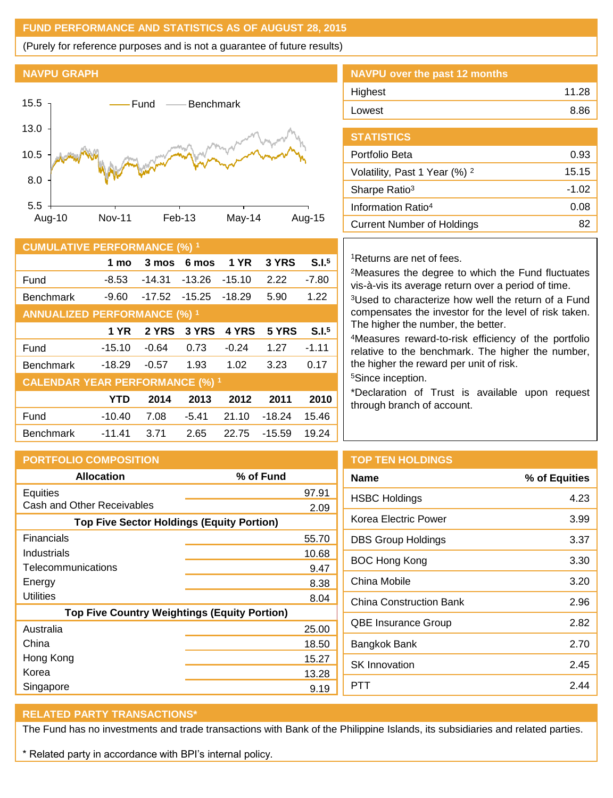# **FUND PERFORMANCE AND STATISTICS AS OF AUGUST 28, 2015**

(Purely for reference purposes and is not a guarantee of future results)

# **NAVPU GRAPH**



| <b>CUMULATIVE PERFORMANCE (%) 1</b>    |            |          |          |             |          |                   |
|----------------------------------------|------------|----------|----------|-------------|----------|-------------------|
|                                        | 1 mo       | 3 mos    | 6 mos    | <b>1 YR</b> | 3 YRS    | S.I. <sup>5</sup> |
| Fund                                   | $-8.53$    | $-14.31$ | $-13.26$ | $-15.10$    | 2.22     | $-7.80$           |
| <b>Benchmark</b>                       | $-9.60$    | $-17.52$ | $-15.25$ | $-18.29$    | 5.90     | 1.22              |
| <b>ANNUALIZED PERFORMANCE (%) 1</b>    |            |          |          |             |          |                   |
|                                        | 1 YR       | 2 YRS    | 3 YRS    | 4 YRS       | 5 YRS    | S.I. <sup>5</sup> |
| Fund                                   | $-15.10$   | $-0.64$  | 0.73     | $-0.24$     | 1.27     | $-1.11$           |
| <b>Benchmark</b>                       | $-18.29$   | -0.57    | 1.93     | 1.02        | 3.23     | 0.17              |
| <b>CALENDAR YEAR PERFORMANCE (%) 1</b> |            |          |          |             |          |                   |
|                                        | <b>YTD</b> | 2014     | 2013     | 2012        | 2011     | 2010              |
| Fund                                   | $-10.40$   | 7.08     | $-5.41$  | 21.10       | $-18.24$ | 15.46             |
| <b>Benchmark</b>                       | $-11.41$   | 3.71     | 2.65     | 22.75       | $-15.59$ | 19.24             |

| NAVPU over the past 12 months |       |
|-------------------------------|-------|
| Highest                       | 11.28 |
| Lowest                        | 8.86  |
|                               |       |

| <b>STATISTICS</b>                        |         |
|------------------------------------------|---------|
| Portfolio Beta                           | 0.93    |
| Volatility, Past 1 Year (%) <sup>2</sup> | 15.15   |
| Sharpe Ratio <sup>3</sup>                | $-1.02$ |
| Information Ratio <sup>4</sup>           | 0.08    |
| <b>Current Number of Holdings</b>        | 82      |

# <sup>1</sup>Returns are net of fees.

<sup>2</sup>Measures the degree to which the Fund fluctuates vis-à-vis its average return over a period of time.

<sup>3</sup>Used to characterize how well the return of a Fund compensates the investor for the level of risk taken. The higher the number, the better.

<sup>4</sup>Measures reward-to-risk efficiency of the portfolio relative to the benchmark. The higher the number, the higher the reward per unit of risk.

<sup>5</sup>Since inception.

**TOP TEN HOLDINGS**

\*Declaration of Trust is available upon request through branch of account.

| <b>PORTFOLIO COMPOSITION</b>                        |           |  |
|-----------------------------------------------------|-----------|--|
| <b>Allocation</b>                                   | % of Fund |  |
| Equities                                            | 97.91     |  |
| Cash and Other Receivables                          | 2.09      |  |
| <b>Top Five Sector Holdings (Equity Portion)</b>    |           |  |
| Financials                                          | 55.70     |  |
| Industrials                                         | 10.68     |  |
| Telecommunications                                  | 9.47      |  |
| Energy                                              | 8.38      |  |
| Utilities                                           | 8.04      |  |
| <b>Top Five Country Weightings (Equity Portion)</b> |           |  |
| Australia                                           | 25.00     |  |
| China                                               | 18.50     |  |
| Hong Kong                                           | 15.27     |  |
| Korea                                               | 13.28     |  |
| Singapore                                           | 9.19      |  |

| Name                      | % of Equities |
|---------------------------|---------------|
| <b>HSBC Holdings</b>      | 4.23          |
| Korea Electric Power      | 3.99          |
| <b>DBS Group Holdings</b> | 3.37          |

| Name                           | % of Equities |
|--------------------------------|---------------|
| <b>HSBC Holdings</b>           | 4.23          |
| Korea Electric Power           | 3.99          |
| <b>DBS Group Holdings</b>      | 3.37          |
| <b>BOC Hong Kong</b>           | 3.30          |
| China Mobile                   | 3.20          |
| <b>China Construction Bank</b> | 2.96          |
| <b>QBE Insurance Group</b>     | 2.82          |
| Bangkok Bank                   | 2.70          |
| <b>SK Innovation</b>           | 2.45          |
| PTT                            | 2.44          |
|                                |               |

# **RELATED PARTY TRANSACTIONS\***

The Fund has no investments and trade transactions with Bank of the Philippine Islands, its subsidiaries and related parties.

\* Related party in accordance with BPI's internal policy.